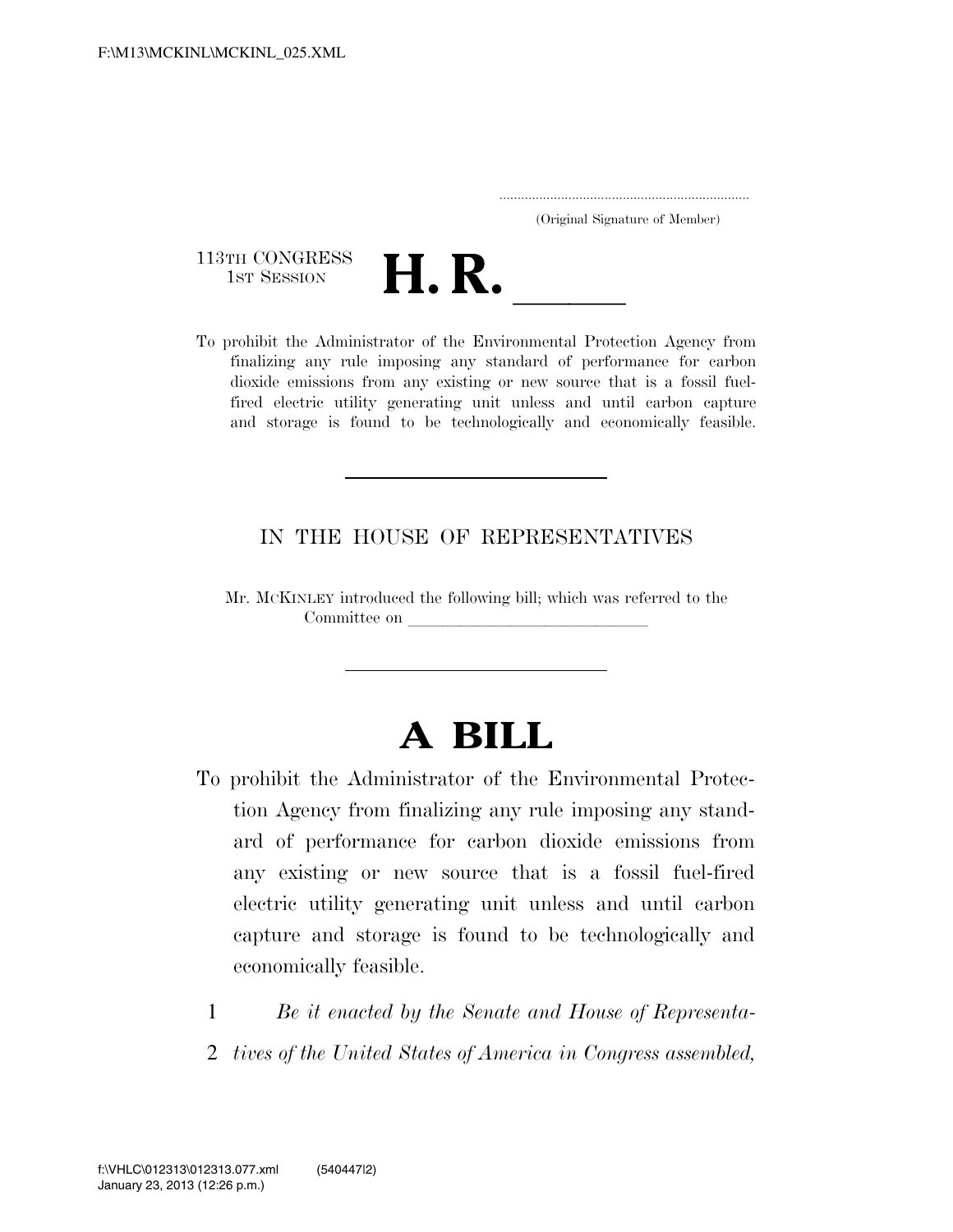..................................................................... (Original Signature of Member)

113TH CONGRESS<br>1st Session



113TH CONGRESS<br>
1ST SESSION<br>
To prohibit the Administrator of the Environmental Protection Agency from finalizing any rule imposing any standard of performance for carbon dioxide emissions from any existing or new source that is a fossil fuelfired electric utility generating unit unless and until carbon capture and storage is found to be technologically and economically feasible.

## IN THE HOUSE OF REPRESENTATIVES

Mr. MCKINLEY introduced the following bill; which was referred to the Committee on

## **A BILL**

- To prohibit the Administrator of the Environmental Protection Agency from finalizing any rule imposing any standard of performance for carbon dioxide emissions from any existing or new source that is a fossil fuel-fired electric utility generating unit unless and until carbon capture and storage is found to be technologically and economically feasible.
	- 1 *Be it enacted by the Senate and House of Representa-*
	- 2 *tives of the United States of America in Congress assembled,*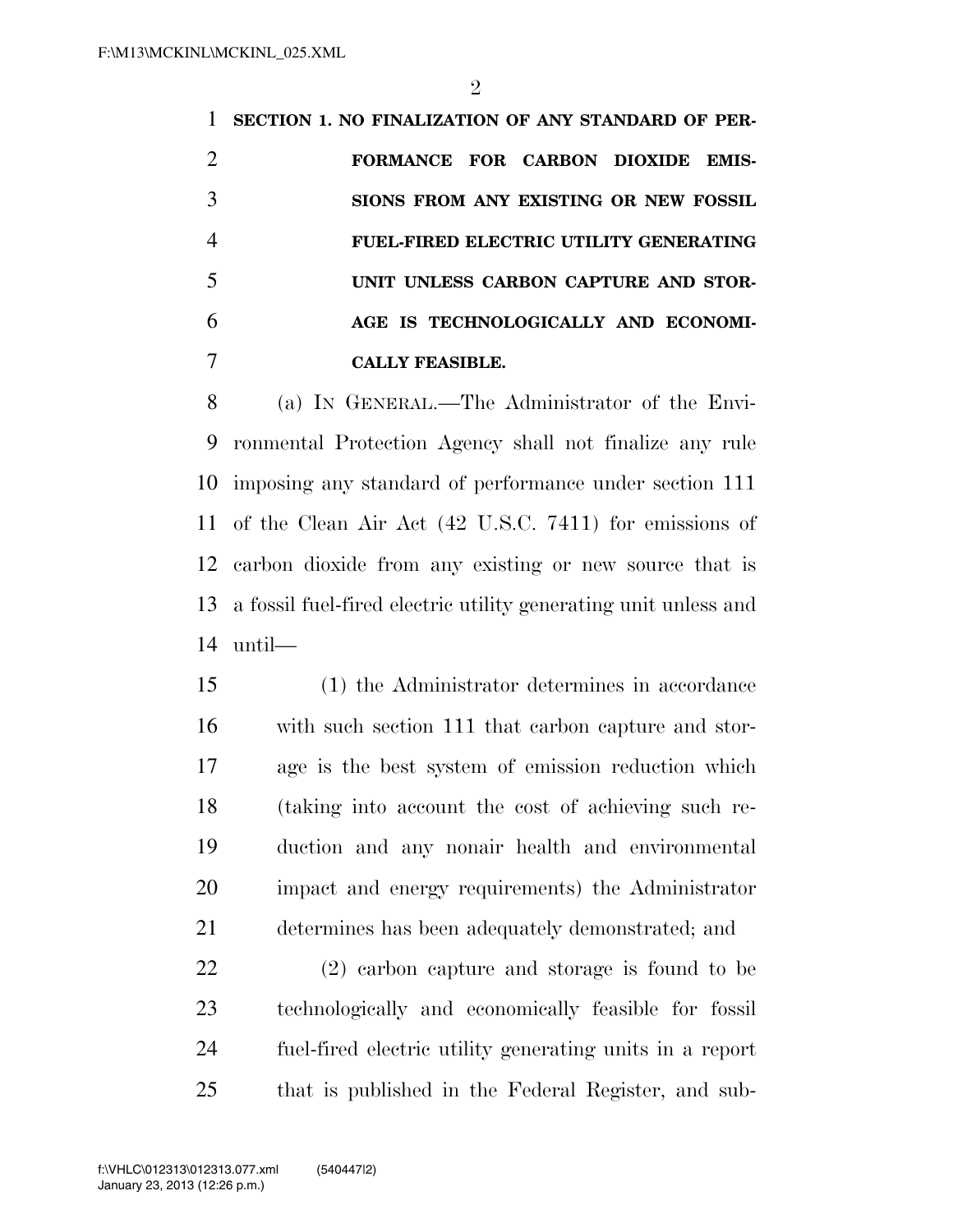**SECTION 1. NO FINALIZATION OF ANY STANDARD OF PER- FORMANCE FOR CARBON DIOXIDE EMIS- SIONS FROM ANY EXISTING OR NEW FOSSIL FUEL-FIRED ELECTRIC UTILITY GENERATING UNIT UNLESS CARBON CAPTURE AND STOR- AGE IS TECHNOLOGICALLY AND ECONOMI-CALLY FEASIBLE.** 

 (a) IN GENERAL.—The Administrator of the Envi- ronmental Protection Agency shall not finalize any rule imposing any standard of performance under section 111 of the Clean Air Act (42 U.S.C. 7411) for emissions of carbon dioxide from any existing or new source that is a fossil fuel-fired electric utility generating unit unless and until—

 (1) the Administrator determines in accordance with such section 111 that carbon capture and stor- age is the best system of emission reduction which (taking into account the cost of achieving such re- duction and any nonair health and environmental impact and energy requirements) the Administrator determines has been adequately demonstrated; and

 (2) carbon capture and storage is found to be technologically and economically feasible for fossil fuel-fired electric utility generating units in a report that is published in the Federal Register, and sub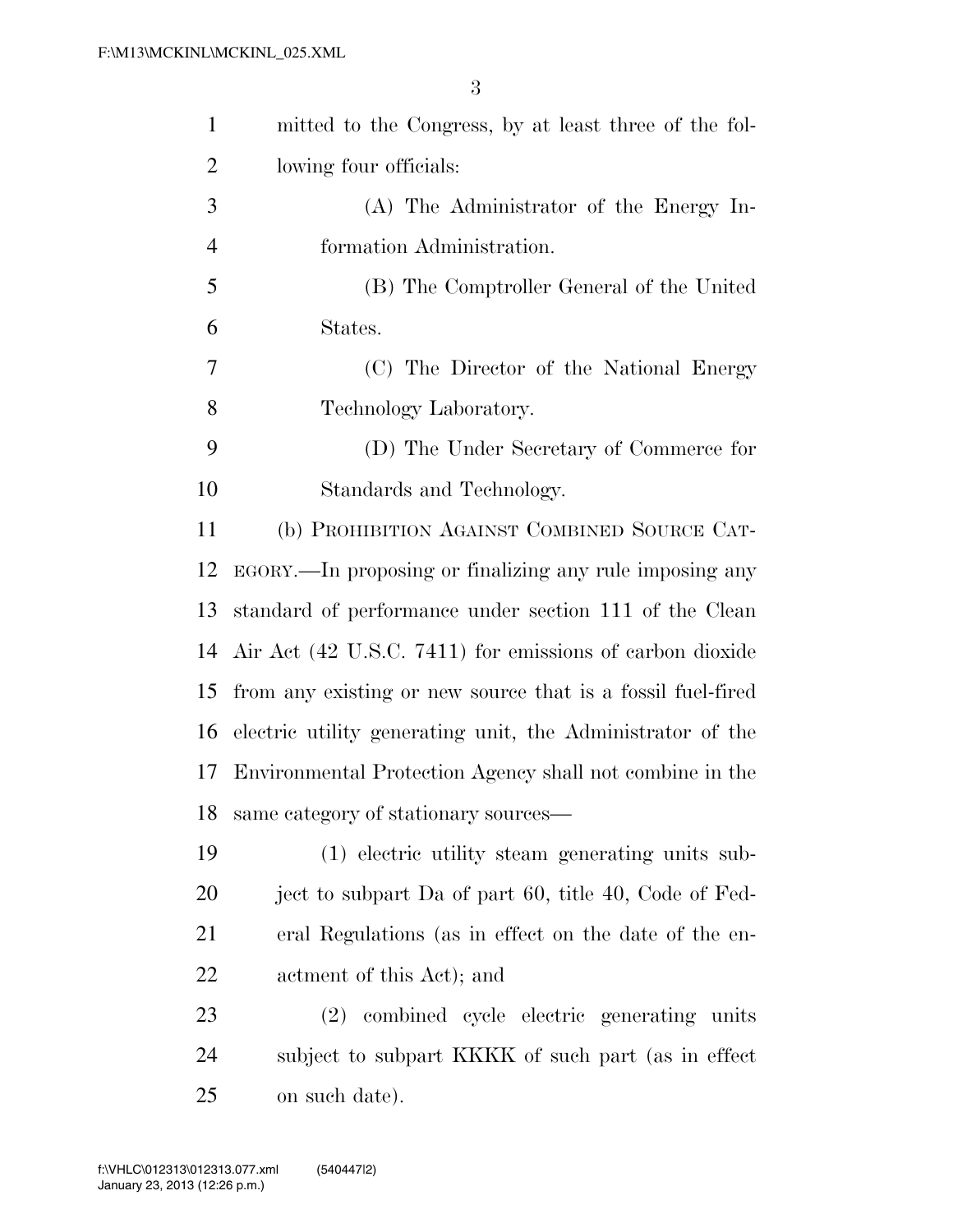| $\mathbf{1}$ | mitted to the Congress, by at least three of the fol-       |
|--------------|-------------------------------------------------------------|
| 2            | lowing four officials:                                      |
| 3            | (A) The Administrator of the Energy In-                     |
| 4            | formation Administration.                                   |
| 5            | (B) The Comptroller General of the United                   |
| 6            | States.                                                     |
| 7            | (C) The Director of the National Energy                     |
| 8            | Technology Laboratory.                                      |
| 9            | (D) The Under Secretary of Commerce for                     |
| 10           | Standards and Technology.                                   |
| 11           | (b) PROHIBITION AGAINST COMBINED SOURCE CAT-                |
| 12           | EGORY.—In proposing or finalizing any rule imposing any     |
| 13           | standard of performance under section 111 of the Clean      |
| 14           | Air Act (42 U.S.C. 7411) for emissions of carbon dioxide    |
| 15           | from any existing or new source that is a fossil fuel-fired |
| 16           | electric utility generating unit, the Administrator of the  |
| 17           | Environmental Protection Agency shall not combine in the    |
| 18           | same category of stationary sources—                        |
| 19           | (1) electric utility steam generating units sub-            |
| 20           | ject to subpart Da of part 60, title 40, Code of Fed-       |
| 21           | eral Regulations (as in effect on the date of the en-       |
| 22           | actment of this Act); and                                   |
| 23           | (2) combined cycle electric generating units                |
| 24           | subject to subpart KKKK of such part (as in effect          |
| 25           | on such date).                                              |